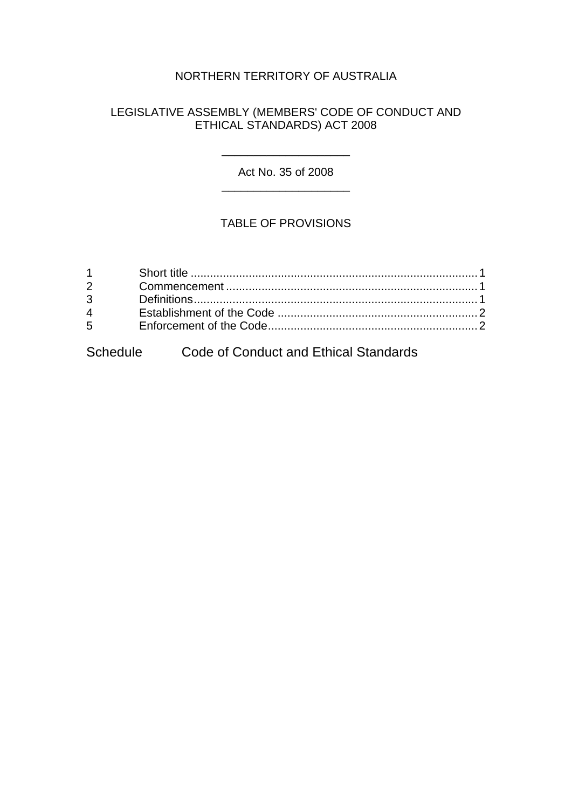# NORTHERN TERRITORY OF AUSTRALIA

# LEGISLATIVE ASSEMBLY (MEMBERS' CODE OF CONDUCT AND ETHICAL STANDARDS) ACT 2008

#### Act No. 35 of 2008 \_\_\_\_\_\_\_\_\_\_\_\_\_\_\_\_\_\_\_\_

\_\_\_\_\_\_\_\_\_\_\_\_\_\_\_\_\_\_\_\_

## TABLE OF PROVISIONS

| $2^{\sim}$     |  |
|----------------|--|
| $3^{\circ}$    |  |
| $\overline{4}$ |  |
| $5^{\circ}$    |  |
|                |  |

# Schedule Code of Conduct and Ethical Standards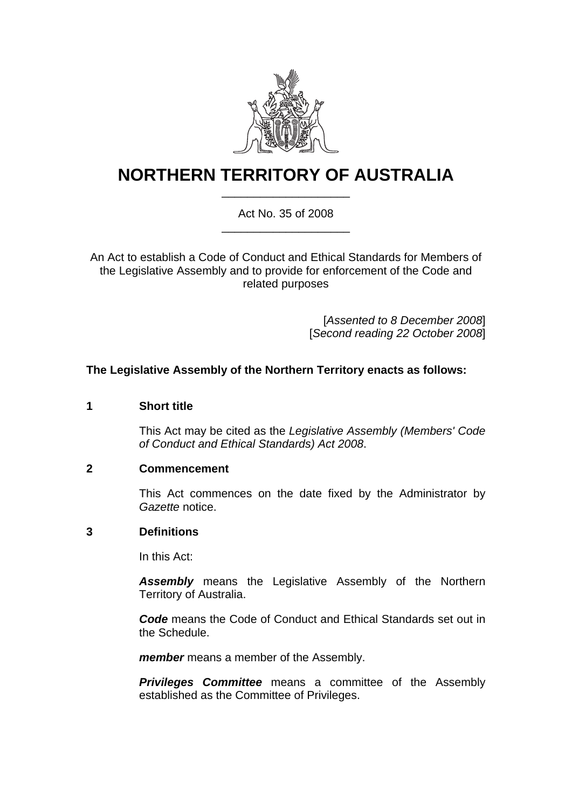

# **NORTHERN TERRITORY OF AUSTRALIA** \_\_\_\_\_\_\_\_\_\_\_\_\_\_\_\_\_\_\_\_

Act No. 35 of 2008 \_\_\_\_\_\_\_\_\_\_\_\_\_\_\_\_\_\_\_\_

An Act to establish a Code of Conduct and Ethical Standards for Members of the Legislative Assembly and to provide for enforcement of the Code and related purposes

> [*Assented to 8 December 2008*] [*Second reading 22 October 2008*]

## **The Legislative Assembly of the Northern Territory enacts as follows:**

#### **1 Short title**

This Act may be cited as the *Legislative Assembly (Members' Code of Conduct and Ethical Standards) Act 2008*.

#### **2 Commencement**

This Act commences on the date fixed by the Administrator by *Gazette* notice.

#### **3 Definitions**

In this Act:

*Assembly* means the Legislative Assembly of the Northern Territory of Australia.

*Code* means the Code of Conduct and Ethical Standards set out in the Schedule.

*member* means a member of the Assembly.

**Privileges Committee** means a committee of the Assembly established as the Committee of Privileges.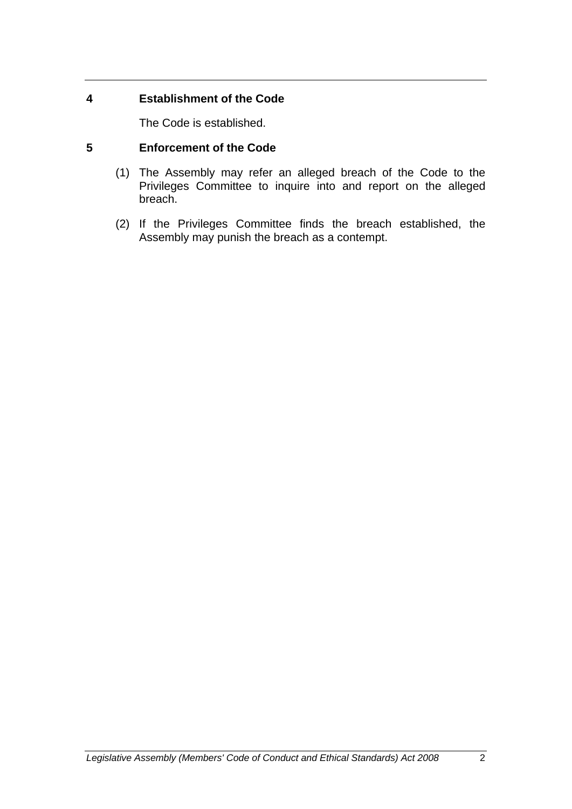# **4 Establishment of the Code**

The Code is established.

# **5 Enforcement of the Code**

- (1) The Assembly may refer an alleged breach of the Code to the Privileges Committee to inquire into and report on the alleged breach.
- (2) If the Privileges Committee finds the breach established, the Assembly may punish the breach as a contempt.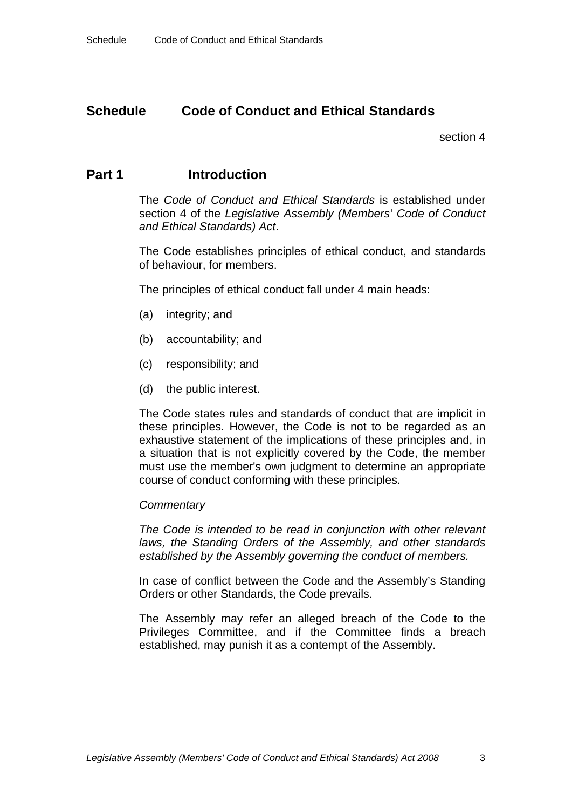# **Schedule Code of Conduct and Ethical Standards**

section 4

# **Part 1** Introduction

The *Code of Conduct and Ethical Standards* is established under section 4 of the *Legislative Assembly (Members' Code of Conduct and Ethical Standards) Act*.

The Code establishes principles of ethical conduct, and standards of behaviour, for members.

The principles of ethical conduct fall under 4 main heads:

- (a) integrity; and
- (b) accountability; and
- (c) responsibility; and
- (d) the public interest.

The Code states rules and standards of conduct that are implicit in these principles. However, the Code is not to be regarded as an exhaustive statement of the implications of these principles and, in a situation that is not explicitly covered by the Code, the member must use the member's own judgment to determine an appropriate course of conduct conforming with these principles.

#### *Commentary*

*The Code is intended to be read in conjunction with other relevant laws, the Standing Orders of the Assembly, and other standards established by the Assembly governing the conduct of members.* 

In case of conflict between the Code and the Assembly's Standing Orders or other Standards, the Code prevails.

The Assembly may refer an alleged breach of the Code to the Privileges Committee, and if the Committee finds a breach established, may punish it as a contempt of the Assembly.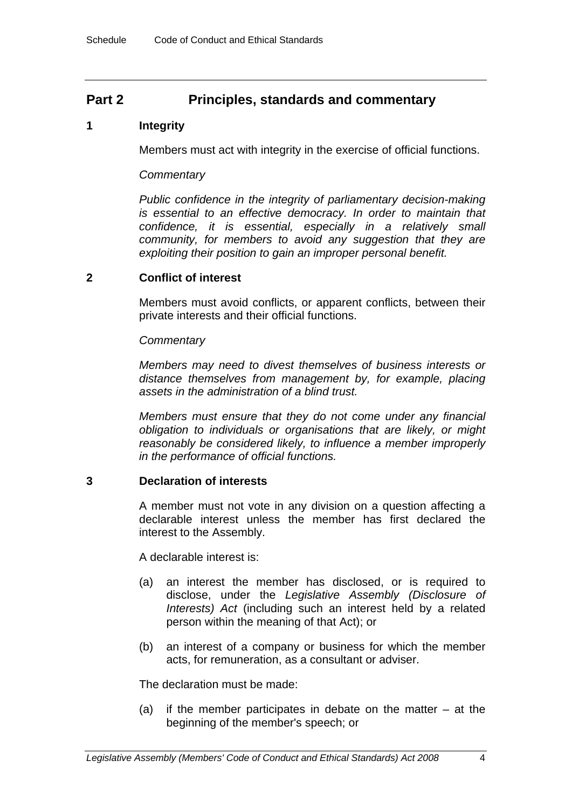# **Part 2 Principles, standards and commentary**

## **1 Integrity**

Members must act with integrity in the exercise of official functions.

#### *Commentary*

*Public confidence in the integrity of parliamentary decision-making is essential to an effective democracy. In order to maintain that confidence, it is essential, especially in a relatively small community, for members to avoid any suggestion that they are exploiting their position to gain an improper personal benefit.* 

## **2 Conflict of interest**

Members must avoid conflicts, or apparent conflicts, between their private interests and their official functions.

#### *Commentary*

*Members may need to divest themselves of business interests or distance themselves from management by, for example, placing assets in the administration of a blind trust.* 

*Members must ensure that they do not come under any financial obligation to individuals or organisations that are likely, or might reasonably be considered likely, to influence a member improperly in the performance of official functions.* 

#### **3 Declaration of interests**

A member must not vote in any division on a question affecting a declarable interest unless the member has first declared the interest to the Assembly.

A declarable interest is:

- (a) an interest the member has disclosed, or is required to disclose, under the *Legislative Assembly (Disclosure of Interests) Act* (including such an interest held by a related person within the meaning of that Act); or
- (b) an interest of a company or business for which the member acts, for remuneration, as a consultant or adviser.

The declaration must be made:

(a) if the member participates in debate on the matter  $-$  at the beginning of the member's speech; or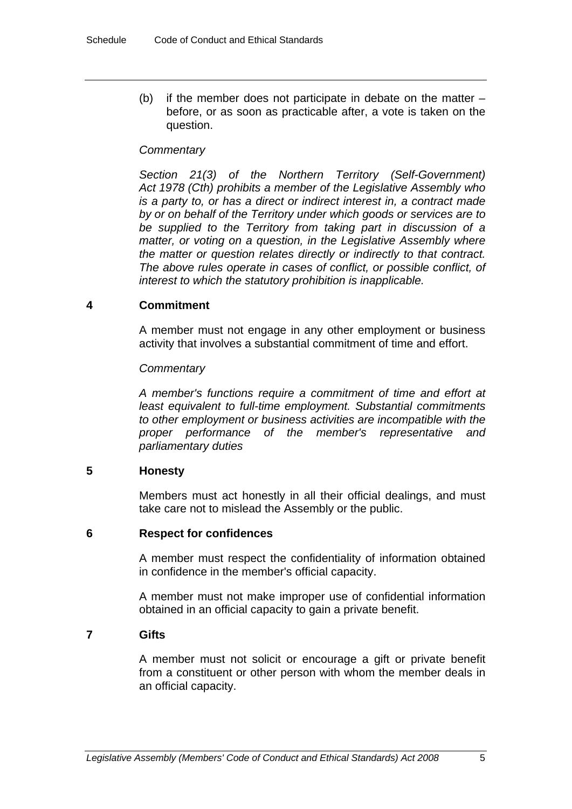(b) if the member does not participate in debate on the matter – before, or as soon as practicable after, a vote is taken on the question.

#### *Commentary*

*Section 21(3) of the Northern Territory (Self-Government) Act 1978 (Cth) prohibits a member of the Legislative Assembly who is a party to, or has a direct or indirect interest in, a contract made by or on behalf of the Territory under which goods or services are to be supplied to the Territory from taking part in discussion of a matter, or voting on a question, in the Legislative Assembly where the matter or question relates directly or indirectly to that contract. The above rules operate in cases of conflict, or possible conflict, of interest to which the statutory prohibition is inapplicable.* 

## **4 Commitment**

A member must not engage in any other employment or business activity that involves a substantial commitment of time and effort.

## *Commentary*

*A member's functions require a commitment of time and effort at least equivalent to full-time employment. Substantial commitments to other employment or business activities are incompatible with the proper performance of the member's representative and parliamentary duties* 

#### **5 Honesty**

Members must act honestly in all their official dealings, and must take care not to mislead the Assembly or the public.

#### **6 Respect for confidences**

A member must respect the confidentiality of information obtained in confidence in the member's official capacity.

A member must not make improper use of confidential information obtained in an official capacity to gain a private benefit.

#### **7 Gifts**

A member must not solicit or encourage a gift or private benefit from a constituent or other person with whom the member deals in an official capacity.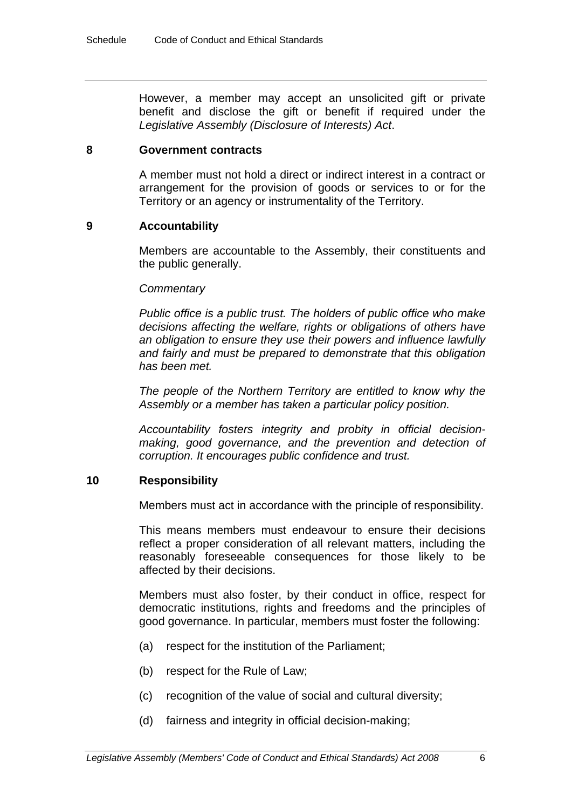However, a member may accept an unsolicited gift or private benefit and disclose the gift or benefit if required under the *Legislative Assembly (Disclosure of Interests) Act*.

#### **8 Government contracts**

A member must not hold a direct or indirect interest in a contract or arrangement for the provision of goods or services to or for the Territory or an agency or instrumentality of the Territory.

#### **9 Accountability**

Members are accountable to the Assembly, their constituents and the public generally.

#### *Commentary*

*Public office is a public trust. The holders of public office who make decisions affecting the welfare, rights or obligations of others have an obligation to ensure they use their powers and influence lawfully and fairly and must be prepared to demonstrate that this obligation has been met.* 

*The people of the Northern Territory are entitled to know why the Assembly or a member has taken a particular policy position.* 

*Accountability fosters integrity and probity in official decisionmaking, good governance, and the prevention and detection of corruption. It encourages public confidence and trust.* 

#### **10 Responsibility**

Members must act in accordance with the principle of responsibility.

This means members must endeavour to ensure their decisions reflect a proper consideration of all relevant matters, including the reasonably foreseeable consequences for those likely to be affected by their decisions.

Members must also foster, by their conduct in office, respect for democratic institutions, rights and freedoms and the principles of good governance. In particular, members must foster the following:

- (a) respect for the institution of the Parliament;
- (b) respect for the Rule of Law;
- (c) recognition of the value of social and cultural diversity;
- (d) fairness and integrity in official decision-making;